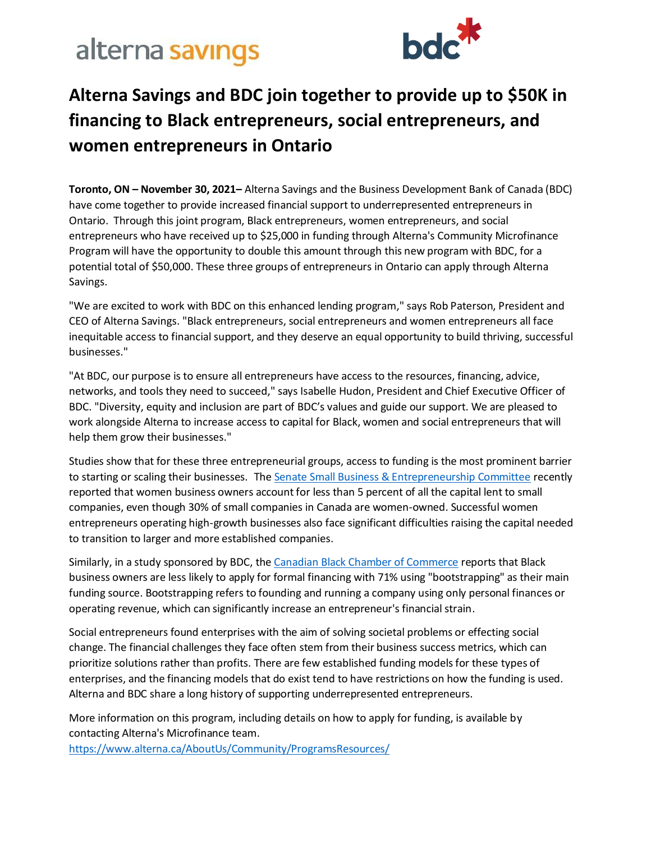# alterna savings



### **Alterna Savings and BDC join together to provide up to \$50K in financing to Black entrepreneurs, social entrepreneurs, and women entrepreneurs in Ontario**

**Toronto, ON – November 30, 2021–** Alterna Savings and the Business Development Bank of Canada (BDC) have come together to provide increased financial support to underrepresented entrepreneurs in Ontario. Through this joint program, Black entrepreneurs, women entrepreneurs, and social entrepreneurs who have received up to \$25,000 in funding through Alterna's Community Microfinance Program will have the opportunity to double this amount through this new program with BDC, for a potential total of \$50,000. These three groups of entrepreneurs in Ontario can apply through Alterna Savings.

"We are excited to work with BDC on this enhanced lending program," says Rob Paterson, President and CEO of Alterna Savings. "Black entrepreneurs, social entrepreneurs and women entrepreneurs all face inequitable access to financial support, and they deserve an equal opportunity to build thriving, successful businesses."

"At BDC, our purpose is to ensure all entrepreneurs have access to the resources, financing, advice, networks, and tools they need to succeed," says Isabelle Hudon, President and Chief Executive Officer of BDC. "Diversity, equity and inclusion are part of BDC's values and guide our support. We are pleased to work alongside Alterna to increase access to capital for Black, women and social entrepreneurs that will help them grow their businesses."

Studies show that for these three entrepreneurial groups, access to funding is the most prominent barrier to starting or scaling their businesses. Th[e Senate Small Business & Entrepreneurship Committee](https://www.sbc.senate.gov/public/index.cfm/women-s-entrepreneurship) recently reported that women business owners account for less than 5 percent of all the capital lent to small companies, even though 30% of small companies in Canada are women-owned. Successful women entrepreneurs operating high-growth businesses also face significant difficulties raising the capital needed to transition to larger and more established companies.

Similarly, in a study sponsored by BDC, th[e Canadian Black Chamber of Commerce](https://www.blackchamber.ca/building-black-business-in-canada-report/) reports that Black business owners are less likely to apply for formal financing with 71% using "bootstrapping" as their main funding source. Bootstrapping refers to founding and running a company using only personal finances or operating revenue, which can significantly increase an entrepreneur's financial strain.

Social entrepreneurs found enterprises with the aim of solving societal problems or effecting social change. The financial challenges they face often stem from their business success metrics, which can prioritize solutions rather than profits. There are few established funding models for these types of enterprises, and the financing models that do exist tend to have restrictions on how the funding is used. Alterna and BDC share a long history of supporting underrepresented entrepreneurs.

More information on this program, including details on how to apply for funding, is available by contacting Alterna's Microfinance team. <https://www.alterna.ca/AboutUs/Community/ProgramsResources/>